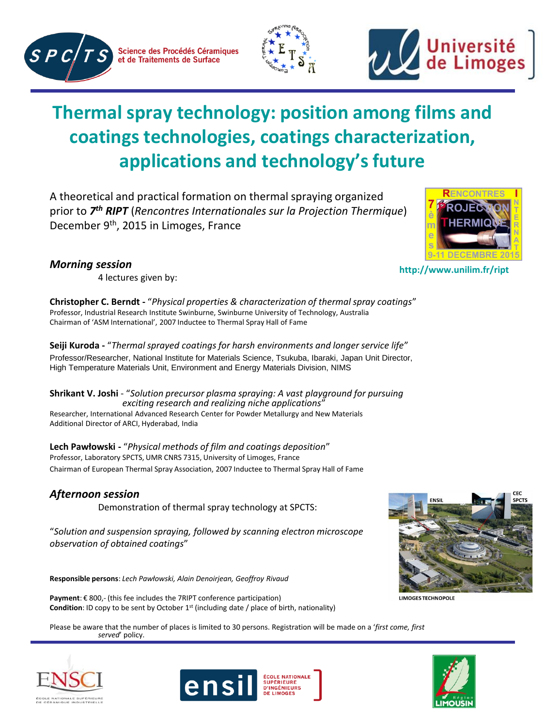

Science des Procédés Céramiques et de Traitements de Surface





# **Thermal spray technology: position among films and coatings technologies, coatings characterization, applications and technology's future**

A theoretical and practical formation on thermal spraying organized prior to *7 th RIPT* (*Rencontres Internationales sur la Projection Thermique*) December 9th, 2015 in Limoges, France

#### *Morning session*

DECEMBRE

4 lectures given by:

**Christopher C. Berndt -** "*Physical properties & characterization of thermal spray coatings*" Professor, Industrial Research Institute Swinburne, Swinburne University of Technology, Australia Chairman of 'ASM International', 2007 Inductee to Thermal Spray Hall of Fame

**Seiji Kuroda -** "*Thermal sprayed coatings for harsh environments and longer service life*" Professor/Researcher, National Institute for Materials Science, Tsukuba, Ibaraki, Japan Unit Director, High Temperature Materials Unit, Environment and Energy Materials Division, NIMS

**Shrikant V. Joshi** - "*Solution precursor plasma spraying: A vast playground for pursuing exciting research and realizing niche applications*"

Researcher, International Advanced Research Center for Powder Metallurgy and New Materials Additional Director of ARCI, Hyderabad, India

**Lech Pawłowski -** "*Physical methods of film and coatings deposition*" Professor, Laboratory SPCTS, UMR CNRS 7315, University of Limoges, France Chairman of European Thermal Spray Association, 2007 Inductee to Thermal Spray Hall of Fame

## *Afternoon session*

Demonstration of thermal spray technology at SPCTS:

"*Solution and suspension spraying, followed by scanning electron microscope observation of obtained coatings*"

**Responsible persons**: *Lech Pawłowski, Alain Denoirjean, Geoffroy Rivaud*

**Payment**: € 800,- (this fee includes the 7RIPT conference participation) **Condition**: ID copy to be sent by October 1<sup>st</sup> (including date / place of birth, nationality)

Please be aware that the number of places is limited to 30 persons. Registration will be made on a '*first come, first served*' policy.







**http://www.unilim.fr/ript**



**LIMOGES TECHNOPOLE**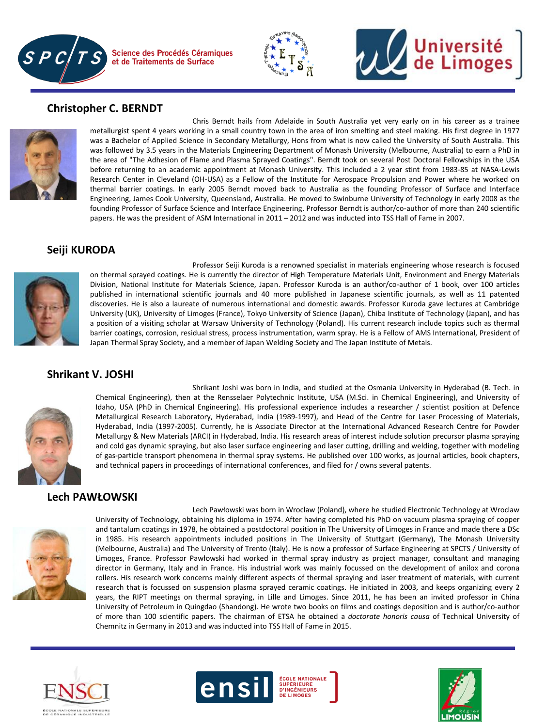



### **Christopher C. BERNDT**



Chris Berndt hails from Adelaide in South Australia yet very early on in his career as a trainee metallurgist spent 4 years working in a small country town in the area of iron smelting and steel making. His first degree in 1977 was a Bachelor of Applied Science in Secondary Metallurgy, Hons from what is now called the University of South Australia. This was followed by 3.5 years in the Materials Engineering Department of Monash University (Melbourne, Australia) to earn a PhD in the area of "The Adhesion of Flame and Plasma Sprayed Coatings". Berndt took on several Post Doctoral Fellowships in the USA before returning to an academic appointment at Monash University. This included a 2 year stint from 1983-85 at NASA-Lewis Research Center in Cleveland (OH-USA) as a Fellow of the Institute for Aerospace Propulsion and Power where he worked on thermal barrier coatings. In early 2005 Berndt moved back to Australia as the founding Professor of Surface and Interface Engineering, James Cook University, Queensland, Australia. He moved to Swinburne University of Technology in early 2008 as the founding Professor of Surface Science and Interface Engineering. Professor Berndt is author/co-author of more than 240 scientific papers. He was the president of ASM International in 2011 – 2012 and was inducted into TSS Hall of Fame in 2007.

#### **Seiji KURODA**



Professor Seiji Kuroda is a renowned specialist in materials engineering whose research is focused on thermal sprayed coatings. He is currently the director of High Temperature Materials Unit, Environment and Energy Materials Division, National Institute for Materials Science, Japan. Professor Kuroda is an author/co-author of 1 book, over 100 articles published in international scientific journals and 40 more published in Japanese scientific journals, as well as 11 patented discoveries. He is also a laureate of numerous international and domestic awards. Professor Kuroda gave lectures at Cambridge University (UK), University of Limoges (France), Tokyo University of Science (Japan), Chiba Institute of Technology (Japan), and has a position of a visiting scholar at Warsaw University of Technology (Poland). His current research include topics such as thermal barrier coatings, corrosion, residual stress, process instrumentation, warm spray. He is a Fellow of AMS International, President of Japan Thermal Spray Society, and a member of Japan Welding Society and The Japan Institute of Metals.

#### **Shrikant V. JOSHI**



Shrikant Joshi was born in India, and studied at the Osmania University in Hyderabad (B. Tech. in Chemical Engineering), then at the Rensselaer Polytechnic Institute, USA (M.Sci. in Chemical Engineering), and University of Idaho, USA (PhD in Chemical Engineering). His professional experience includes a researcher / scientist position at Defence Metallurgical Research Laboratory, Hyderabad, India (1989-1997), and Head of the Centre for Laser Processing of Materials, Hyderabad, India (1997-2005). Currently, he is Associate Director at the International Advanced Research Centre for Powder Metallurgy & New Materials (ARCI) in Hyderabad, India. His research areas of interest include solution precursor plasma spraying and cold gas dynamic spraying, but also laser surface engineering and laser cutting, drilling and welding, together with modeling of gas-particle transport phenomena in thermal spray systems. He published over 100 works, as journal articles, book chapters, and technical papers in proceedings of international conferences, and filed for / owns several patents.

#### **Lech PAWŁOWSKI**



Lech Pawłowski was born in Wroclaw (Poland), where he studied Electronic Technology at Wroclaw University of Technology, obtaining his diploma in 1974. After having completed his PhD on vacuum plasma spraying of copper and tantalum coatings in 1978, he obtained a postdoctoral position in The University of Limoges in France and made there a DSc in 1985. His research appointments included positions in The University of Stuttgart (Germany), The Monash University (Melbourne, Australia) and The University of Trento (Italy). He is now a professor of Surface Engineering at SPCTS / University of Limoges, France. Professor Pawłowski had worked in thermal spray industry as project manager, consultant and managing director in Germany, Italy and in France. His industrial work was mainly focussed on the development of anilox and corona rollers. His research work concerns mainly different aspects of thermal spraying and laser treatment of materials, with current research that is focussed on suspension plasma sprayed ceramic coatings. He initiated in 2003, and keeps organizing every 2 years, the RIPT meetings on thermal spraying, in Lille and Limoges. Since 2011, he has been an invited professor in China University of Petroleum in Quingdao (Shandong). He wrote two books on films and coatings deposition and is author/co-author of more than 100 scientific papers. The chairman of ETSA he obtained a *doctorate honoris causa* of Technical University of Chemnitz in Germany in 2013 and was inducted into TSS Hall of Fame in 2015.





**ÉCOLE NATIONALE SUPÉRIEURE D'INGÉNIEURS** 



**Université<br>de Limoges**